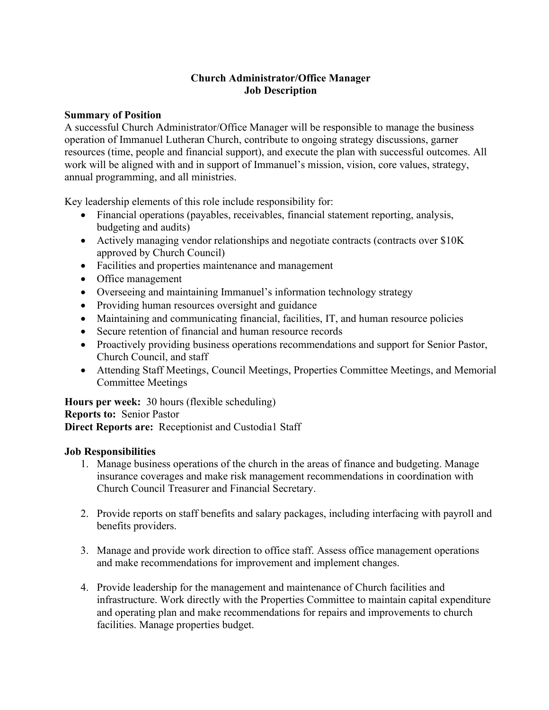# **Church Administrator/Office Manager Job Description**

#### **Summary of Position**

A successful Church Administrator/Office Manager will be responsible to manage the business operation of Immanuel Lutheran Church, contribute to ongoing strategy discussions, garner resources (time, people and financial support), and execute the plan with successful outcomes. All work will be aligned with and in support of Immanuel's mission, vision, core values, strategy, annual programming, and all ministries.

Key leadership elements of this role include responsibility for:

- Financial operations (payables, receivables, financial statement reporting, analysis, budgeting and audits)
- Actively managing vendor relationships and negotiate contracts (contracts over \$10K) approved by Church Council)
- Facilities and properties maintenance and management
- Office management
- Overseeing and maintaining Immanuel's information technology strategy
- Providing human resources oversight and guidance
- Maintaining and communicating financial, facilities, IT, and human resource policies
- Secure retention of financial and human resource records
- Proactively providing business operations recommendations and support for Senior Pastor, Church Council, and staff
- Attending Staff Meetings, Council Meetings, Properties Committee Meetings, and Memorial Committee Meetings

**Hours per week:** 30 hours (flexible scheduling) **Reports to:** Senior Pastor **Direct Reports are:** Receptionist and Custodia1 Staff

## **Job Responsibilities**

- 1. Manage business operations of the church in the areas of finance and budgeting. Manage insurance coverages and make risk management recommendations in coordination with Church Council Treasurer and Financial Secretary.
- 2. Provide reports on staff benefits and salary packages, including interfacing with payroll and benefits providers.
- 3. Manage and provide work direction to office staff. Assess office management operations and make recommendations for improvement and implement changes.
- 4. Provide leadership for the management and maintenance of Church facilities and infrastructure. Work directly with the Properties Committee to maintain capital expenditure and operating plan and make recommendations for repairs and improvements to church facilities. Manage properties budget.